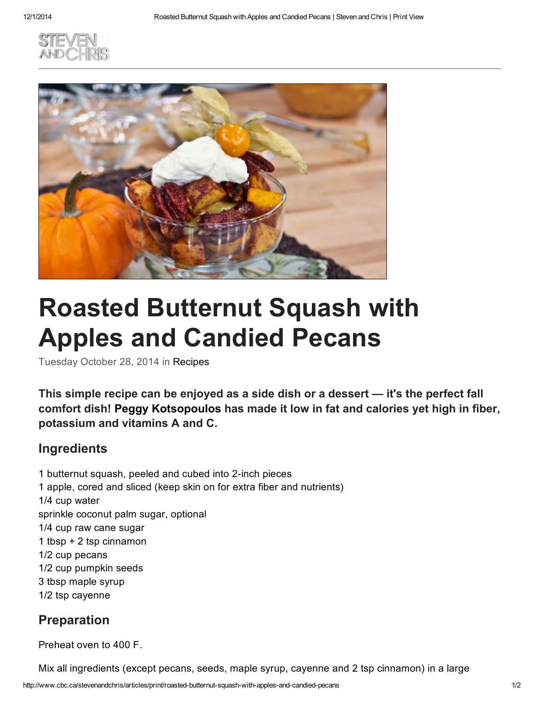



## Roasted Butternut Squash with Apples and Candied Pecans

Tuesday October 28, 2014 in [Recipes](http://www.cbc.ca/stevenandchris/archive/category/recipes)

This simple recipe can be enjoyed as a side dish or a dessert — it's the perfect fall comfort dish! Peggy [Kotsopoulos](http://www.cbc.ca/stevenandchris/experts/peggy-kotsopoulos) has made it low in fat and calories yet high in fiber, potassium and vitamins A and C.

## Ingredients

1 butternut squash, peeled and cubed into 2-inch pieces 1 apple, cored and sliced (keep skin on for extra fiber and nutrients) 1/4 cup water sprinkle coconut palm sugar, optional 1/4 cup raw cane sugar 1 tbsp + 2 tsp cinnamon 1/2 cup pecans 1/2 cup pumpkin seeds 3 tbsp maple syrup 1/2 tsp cayenne

## Preparation

Preheat oven to 400 F.

Mix all ingredients (except pecans, seeds, maple syrup, cayenne and 2 tsp cinnamon) in a large